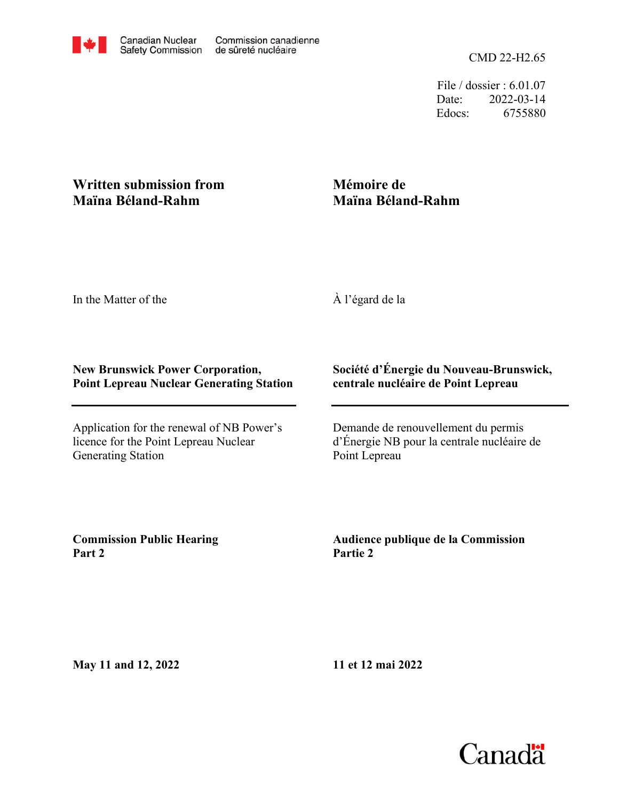CMD 22-H2.65

File / dossier : 6.01.07 Date: 2022-03-14 Edocs: 6755880

## **Written submission from Maïna Béland-Rahm**

## **Mémoire de Maïna Béland-Rahm**

In the Matter of the

À l'égard de la

## **New Brunswick Power Corporation, Point Lepreau Nuclear Generating Station**

Application for the renewal of NB Power's licence for the Point Lepreau Nuclear Generating Station

## **Société d'Énergie du Nouveau-Brunswick, centrale nucléaire de Point Lepreau**

Demande de renouvellement du permis d'Énergie NB pour la centrale nucléaire de Point Lepreau

**Commission Public Hearing Part 2**

**Audience publique de la Commission Partie 2**

**May 11 and 12, 2022**

**11 et 12 mai 2022**